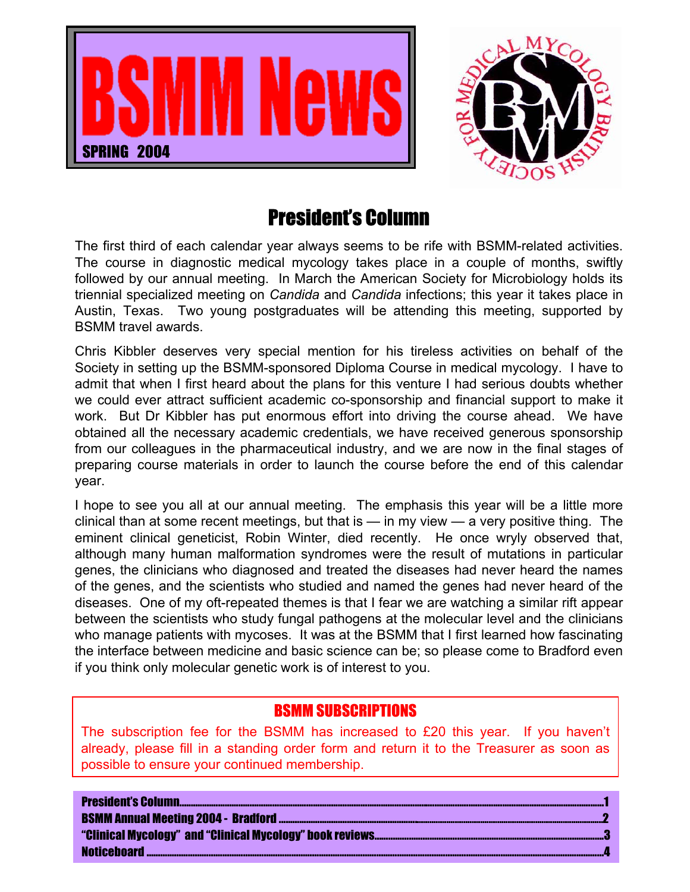



### President's Column

The first third of each calendar year always seems to be rife with BSMM-related activities. The course in diagnostic medical mycology takes place in a couple of months, swiftly followed by our annual meeting. In March the American Society for Microbiology holds its triennial specialized meeting on *Candida* and *Candida* infections; this year it takes place in Austin, Texas. Two young postgraduates will be attending this meeting, supported by BSMM travel awards.

Chris Kibbler deserves very special mention for his tireless activities on behalf of the Society in setting up the BSMM-sponsored Diploma Course in medical mycology. I have to admit that when I first heard about the plans for this venture I had serious doubts whether we could ever attract sufficient academic co-sponsorship and financial support to make it work. But Dr Kibbler has put enormous effort into driving the course ahead. We have obtained all the necessary academic credentials, we have received generous sponsorship from our colleagues in the pharmaceutical industry, and we are now in the final stages of preparing course materials in order to launch the course before the end of this calendar year.

I hope to see you all at our annual meeting. The emphasis this year will be a little more clinical than at some recent meetings, but that is  $-$  in my view  $-$  a very positive thing. The eminent clinical geneticist, Robin Winter, died recently. He once wryly observed that, although many human malformation syndromes were the result of mutations in particular genes, the clinicians who diagnosed and treated the diseases had never heard the names of the genes, and the scientists who studied and named the genes had never heard of the diseases. One of my oft-repeated themes is that I fear we are watching a similar rift appear between the scientists who study fungal pathogens at the molecular level and the clinicians who manage patients with mycoses. It was at the BSMM that I first learned how fascinating the interface between medicine and basic science can be; so please come to Bradford even if you think only molecular genetic work is of interest to you.

### BSMM SUBSCRIPTIONS

The subscription fee for the BSMM has increased to £20 this year. If you haven't already, please fill in a standing order form and return it to the Treasurer as soon as possible to ensure your continued membership.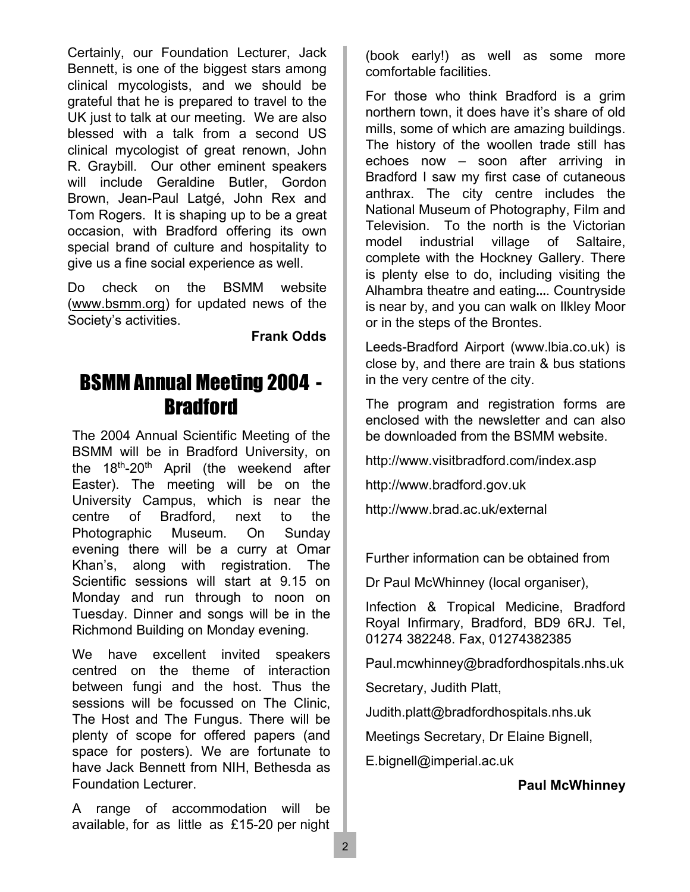Certainly, our Foundation Lecturer, Jack Bennett, is one of the biggest stars among clinical mycologists, and we should be grateful that he is prepared to travel to the UK just to talk at our meeting. We are also blessed with a talk from a second US clinical mycologist of great renown, John R. Graybill. Our other eminent speakers will include Geraldine Butler, Gordon Brown, Jean-Paul Latgé, John Rex and Tom Rogers. It is shaping up to be a great occasion, with Bradford offering its own special brand of culture and hospitality to give us a fine social experience as well.

Do check on the BSMM website (www.bsmm.org) for updated news of the Society's activities.

**Frank Odds**

# BSMM Annual Meeting 2004 - **Bradford**

The 2004 Annual Scientific Meeting of the BSMM will be in Bradford University, on the 18th-20th April (the weekend after Easter). The meeting will be on the University Campus, which is near the centre of Bradford, next to the Photographic Museum. On Sunday evening there will be a curry at Omar Khan's, along with registration. The Scientific sessions will start at 9.15 on Monday and run through to noon on Tuesday. Dinner and songs will be in the Richmond Building on Monday evening.

We have excellent invited speakers centred on the theme of interaction between fungi and the host. Thus the sessions will be focussed on The Clinic, The Host and The Fungus. There will be plenty of scope for offered papers (and space for posters). We are fortunate to have Jack Bennett from NIH, Bethesda as Foundation Lecturer.

A range of accommodation will be available, for as little as £15-20 per night

(book early!) as well as some more comfortable facilities.

For those who think Bradford is a grim northern town, it does have it's share of old mills, some of which are amazing buildings. The history of the woollen trade still has echoes now – soon after arriving in Bradford I saw my first case of cutaneous anthrax. The city centre includes the National Museum of Photography, Film and Television. To the north is the Victorian model industrial village of Saltaire, complete with the Hockney Gallery. There is plenty else to do, including visiting the Alhambra theatre and eating…. Countryside is near by, and you can walk on Ilkley Moor or in the steps of the Brontes.

Leeds-Bradford Airport (www.lbia.co.uk) is close by, and there are train & bus stations in the very centre of the city.

The program and registration forms are enclosed with the newsletter and can also be downloaded from the BSMM website.

http://www.visitbradford.com/index.asp

http://www.bradford.gov.uk

http://www.brad.ac.uk/external

Further information can be obtained from

Dr Paul McWhinney (local organiser),

Infection & Tropical Medicine, Bradford Royal Infirmary, Bradford, BD9 6RJ. Tel, 01274 382248. Fax, 01274382385

Paul.mcwhinney@bradfordhospitals.nhs.uk

Secretary, Judith Platt,

Judith.platt@bradfordhospitals.nhs.uk

Meetings Secretary, Dr Elaine Bignell,

E.bignell@imperial.ac.uk

#### **Paul McWhinney**

2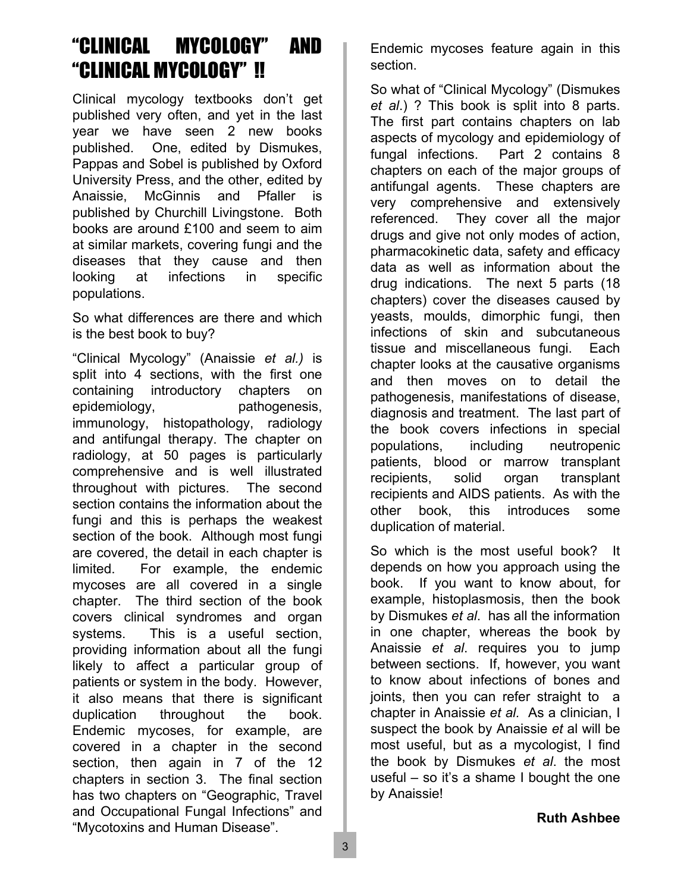### "CLINICAL MYCOLOGY" AND "CLINICAL MYCOLOGY" !!

Clinical mycology textbooks don't get published very often, and yet in the last year we have seen 2 new books published. One, edited by Dismukes, Pappas and Sobel is published by Oxford University Press, and the other, edited by Anaissie, McGinnis and Pfaller is published by Churchill Livingstone. Both books are around £100 and seem to aim at similar markets, covering fungi and the diseases that they cause and then looking at infections in specific populations.

So what differences are there and which is the best book to buy?

"Clinical Mycology" (Anaissie *et al.)* is split into 4 sections, with the first one containing introductory chapters on epidemiology, pathogenesis, immunology, histopathology, radiology and antifungal therapy. The chapter on radiology, at 50 pages is particularly comprehensive and is well illustrated throughout with pictures. The second section contains the information about the fungi and this is perhaps the weakest section of the book. Although most fungi are covered, the detail in each chapter is limited. For example, the endemic mycoses are all covered in a single chapter. The third section of the book covers clinical syndromes and organ systems. This is a useful section, providing information about all the fungi likely to affect a particular group of patients or system in the body. However, it also means that there is significant duplication throughout the book. Endemic mycoses, for example, are covered in a chapter in the second section, then again in 7 of the 12 chapters in section 3. The final section has two chapters on "Geographic, Travel and Occupational Fungal Infections" and "Mycotoxins and Human Disease".

Endemic mycoses feature again in this section.

So what of "Clinical Mycology" (Dismukes *et al*.) ? This book is split into 8 parts. The first part contains chapters on lab aspects of mycology and epidemiology of fungal infections. Part 2 contains 8 chapters on each of the major groups of antifungal agents. These chapters are very comprehensive and extensively referenced. They cover all the major drugs and give not only modes of action, pharmacokinetic data, safety and efficacy data as well as information about the drug indications. The next 5 parts (18 chapters) cover the diseases caused by yeasts, moulds, dimorphic fungi, then infections of skin and subcutaneous tissue and miscellaneous fungi. Each chapter looks at the causative organisms and then moves on to detail the pathogenesis, manifestations of disease, diagnosis and treatment. The last part of the book covers infections in special populations, including neutropenic patients, blood or marrow transplant recipients, solid organ transplant recipients and AIDS patients. As with the other book, this introduces some duplication of material.

So which is the most useful book? It depends on how you approach using the book. If you want to know about, for example, histoplasmosis, then the book by Dismukes *et al*. has all the information in one chapter, whereas the book by Anaissie *et al*. requires you to jump between sections. If, however, you want to know about infections of bones and joints, then you can refer straight to a chapter in Anaissie *et al.* As a clinician, I suspect the book by Anaissie *et* al will be most useful, but as a mycologist, I find the book by Dismukes *et al*. the most useful – so it's a shame I bought the one by Anaissie!